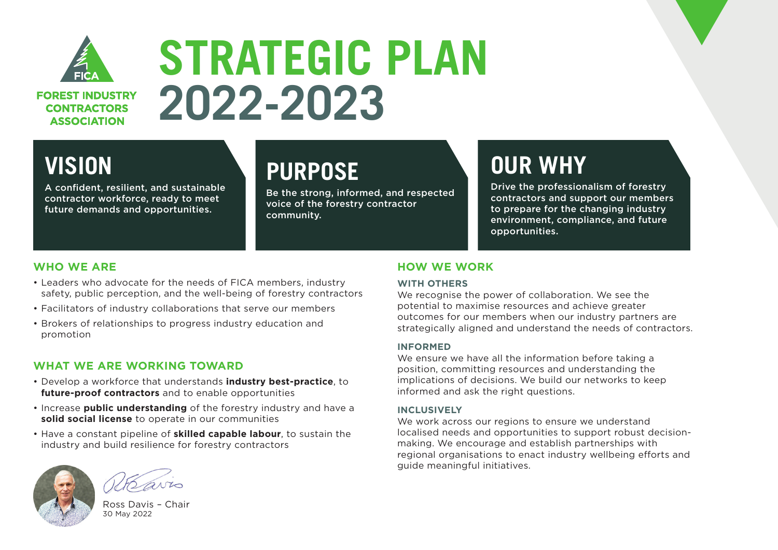

**FOREST INDUSTRY CONTRACTORS ASSOCIATION** 

# **STRATEGIC PLAN 2022-2023**

## **VISION**

A confident, resilient, and sustainable contractor workforce, ready to meet future demands and opportunities.

## **PURPOSE**

Be the strong, informed, and respected voice of the forestry contractor community.

# **OUR WHY**

Drive the professionalism of forestry contractors and support our members to prepare for the changing industry environment, compliance, and future opportunities.

### **WHO WE ARE**

- Leaders who advocate for the needs of FICA members, industry safety, public perception, and the well-being of forestry contractors
- Facilitators of industry collaborations that serve our members
- Brokers of relationships to progress industry education and promotion

### **WHAT WE ARE WORKING TOWARD**

- Develop a workforce that understands **industry best-practice**, to **future-proof contractors** and to enable opportunities
- Increase **public understanding** of the forestry industry and have a **solid social license** to operate in our communities
- Have a constant pipeline of **skilled capable labour**, to sustain the industry and build resilience for forestry contractors



Ross Davis – Chair 30 May 2022

### **HOW WE WORK**

#### **WITH OTHERS**

We recognise the power of collaboration. We see the potential to maximise resources and achieve greater outcomes for our members when our industry partners are strategically aligned and understand the needs of contractors.

#### **INFORMED**

We ensure we have all the information before taking a position, committing resources and understanding the implications of decisions. We build our networks to keep informed and ask the right questions.

#### **INCLUSIVELY**

We work across our regions to ensure we understand localised needs and opportunities to support robust decisionmaking. We encourage and establish partnerships with regional organisations to enact industry wellbeing efforts and guide meaningful initiatives.